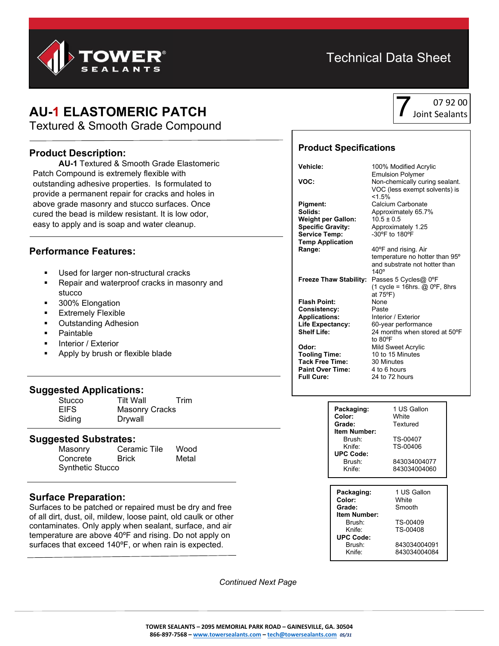

## Technical Data Sheet

## **AU-1 ELASTOMERIC PATCH**

Textured & Smooth Grade Compound

#### **Product Description:**

**AU-1** Textured & Smooth Grade Elastomeric Patch Compound is extremely flexible with outstanding adhesive properties. Is formulated to provide a permanent repair for cracks and holes in above grade masonry and stucco surfaces. Once cured the bead is mildew resistant. It is low odor, easy to apply and is soap and water cleanup.

### **Performance Features:**

- Used for larger non-structural cracks
- Repair and waterproof cracks in masonry and stucco
- 300% Elongation
- Extremely Flexible
- Outstanding Adhesion
- Paintable
- Interior / Exterior
- Apply by brush or flexible blade

#### **Suggested Applications:**

| Stucco      | <b>Tilt Wall</b>      | Trim |
|-------------|-----------------------|------|
| <b>EIFS</b> | <b>Masonry Cracks</b> |      |
| Siding      | Drywall               |      |

# **Suggested Substrates:**

Ceramic Tile Wood Concrete Brick Metal Synthetic Stucco

#### **Surface Preparation:**

Surfaces to be patched or repaired must be dry and free of all dirt, dust, oil, mildew, loose paint, old caulk or other contaminates. Only apply when sealant, surface, and air temperature are above 40ºF and rising. Do not apply on surfaces that exceed 140ºF, or when rain is expected.

07 92 00 7Joint Sealants

#### **Product Specifications**

**Weight per Gallon:**<br>Specific Gravity: **Service Temp: Temp Application Range:** 40°F and rising. Air

**Freeze Thaw Stability:** Passes 5 Cycles@ 0ºF

**Flash Point:** None<br> **Consistency:** Paste **Consistency:**<br>Applications:

**Tooling Time:** 10 to 15 Minutes<br> **Tack Free Time:** 30 Minutes **Tack Free Time:** 30 Minutes<br>**Paint Over Time:** 4 to 6 hours **Paint Over Time:**<br>Full Cure:

**Vehicle:** 100% Modified Acrylic Emulsion Polymer **VOC:** Non-chemically curing sealant. VOC (less exempt solvents) is  $< 1.5\%$ **Pigment:** Calcium Carbonate<br> **Solids:** Approximately 65.7 **Solids:** Approximately 65.7% Approximately 1.25<br>-30°F to 180°F temperature no hotter than 95º

and substrate not hotter than 140º (1 cycle = 16hrs.  $@$  0°F, 8hrs at 75ºF) **Interior / Exterior Life Expectancy:** 60-year performance<br> **Shelf Life:** 24 months when store 24 months when stored at 50°F to 80ºF

**Odor:** Mild Sweet Acrylic<br> **Tooling Time:** 10 to 15 Minutes **Full Cure:** 24 to 72 hours

| Packaging:       | 1 US Gallon<br>White |  |
|------------------|----------------------|--|
| Color:           |                      |  |
| Grade:           | Textured             |  |
| Item Number:     |                      |  |
| Brush:           | TS-00407             |  |
| Knife:           | TS-00406             |  |
| <b>UPC Code:</b> |                      |  |
| Brush:           | 843034004077         |  |
| Knife:           | 843034004060         |  |
|                  |                      |  |
|                  |                      |  |
| Packaging:       | 1 US Gallon          |  |
| Color:           | White                |  |
| Grade:           | Smooth               |  |
| Item Number:     |                      |  |
| Brush:           | TS-00409             |  |
| Knife:           | TS-00408             |  |
| <b>UPC Code:</b> |                      |  |

Brush: 843034004091 Knife: 843034004084

 *Continued Next Page*